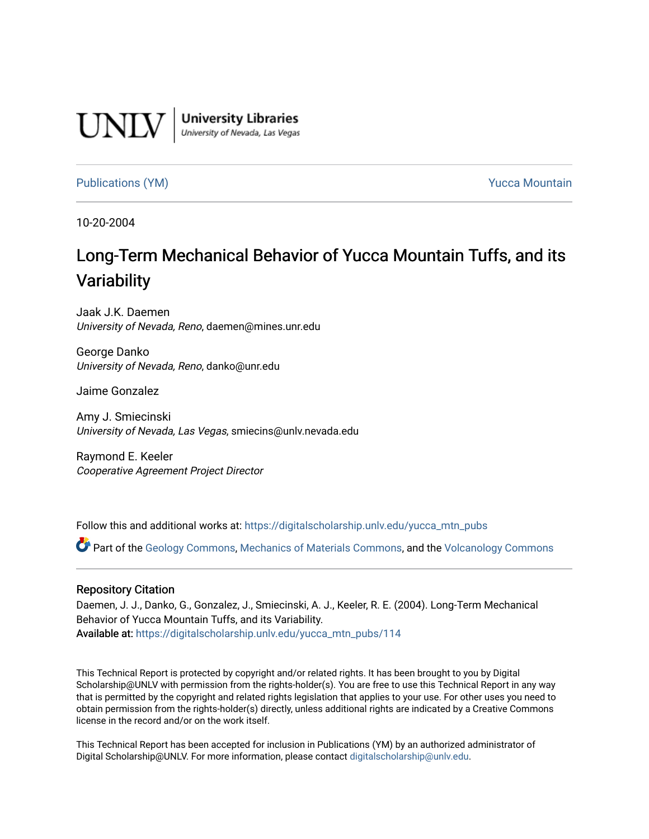

**University Libraries**<br>University of Nevada, Las Vegas

#### [Publications \(YM\)](https://digitalscholarship.unlv.edu/yucca_mtn_pubs) **Publications (YM) Publications (YM) Publications** (*YM*)

10-20-2004

# Long-Term Mechanical Behavior of Yucca Mountain Tuffs, and its **Variability**

Jaak J.K. Daemen University of Nevada, Reno, daemen@mines.unr.edu

George Danko University of Nevada, Reno, danko@unr.edu

Jaime Gonzalez

Amy J. Smiecinski University of Nevada, Las Vegas, smiecins@unlv.nevada.edu

Raymond E. Keeler Cooperative Agreement Project Director

Follow this and additional works at: [https://digitalscholarship.unlv.edu/yucca\\_mtn\\_pubs](https://digitalscholarship.unlv.edu/yucca_mtn_pubs?utm_source=digitalscholarship.unlv.edu%2Fyucca_mtn_pubs%2F114&utm_medium=PDF&utm_campaign=PDFCoverPages)

Part of the [Geology Commons](http://network.bepress.com/hgg/discipline/156?utm_source=digitalscholarship.unlv.edu%2Fyucca_mtn_pubs%2F114&utm_medium=PDF&utm_campaign=PDFCoverPages), [Mechanics of Materials Commons](http://network.bepress.com/hgg/discipline/283?utm_source=digitalscholarship.unlv.edu%2Fyucca_mtn_pubs%2F114&utm_medium=PDF&utm_campaign=PDFCoverPages), and the [Volcanology Commons](http://network.bepress.com/hgg/discipline/165?utm_source=digitalscholarship.unlv.edu%2Fyucca_mtn_pubs%2F114&utm_medium=PDF&utm_campaign=PDFCoverPages) 

#### Repository Citation

Daemen, J. J., Danko, G., Gonzalez, J., Smiecinski, A. J., Keeler, R. E. (2004). Long-Term Mechanical Behavior of Yucca Mountain Tuffs, and its Variability. Available at: [https://digitalscholarship.unlv.edu/yucca\\_mtn\\_pubs/114](https://digitalscholarship.unlv.edu/yucca_mtn_pubs/114) 

This Technical Report is protected by copyright and/or related rights. It has been brought to you by Digital Scholarship@UNLV with permission from the rights-holder(s). You are free to use this Technical Report in any way that is permitted by the copyright and related rights legislation that applies to your use. For other uses you need to obtain permission from the rights-holder(s) directly, unless additional rights are indicated by a Creative Commons license in the record and/or on the work itself.

This Technical Report has been accepted for inclusion in Publications (YM) by an authorized administrator of Digital Scholarship@UNLV. For more information, please contact [digitalscholarship@unlv.edu](mailto:digitalscholarship@unlv.edu).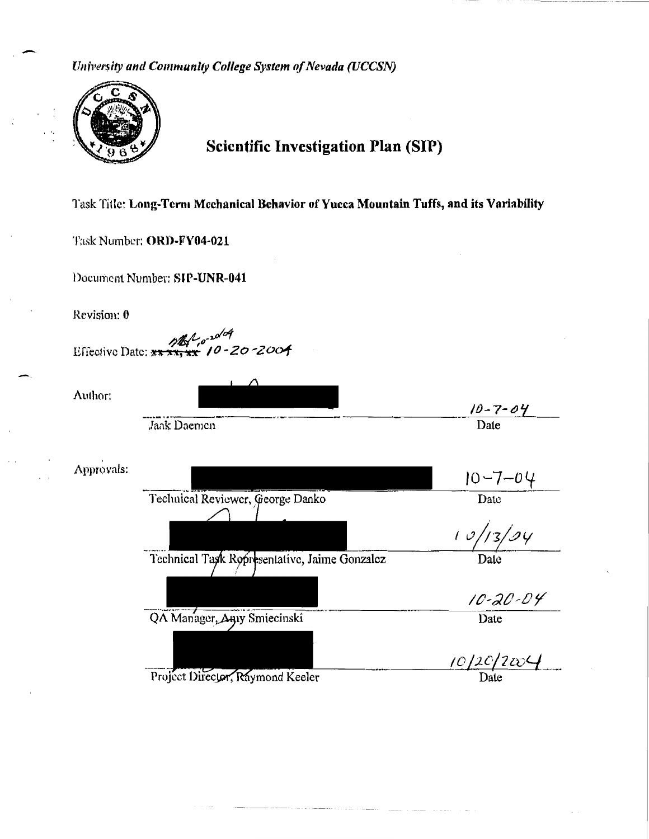*University and Community College System of Nevada (UCCSN)* 



 $\overline{\phantom{a}}$ 

' •,

## Scientific Investigation Plan (SIP)

Task Title: Long-Term Mechanical Behavior of Yucca Mountain Tuffs, and its Variability

Task Number: ORD-FY04-021

Document Number: SIP-UNR-041

Revision: 0

/**b/**/o<sup>2001</sup><br>Effective Date: \*\* \*\*<mark>\*\*</mark> 10-20-200**4** 

Author:

|            |                                               | $10 - 7 - 04$  |
|------------|-----------------------------------------------|----------------|
|            | Jaak Daemen                                   | Date           |
| Approvals: |                                               | $10 - 7 - 04$  |
|            |                                               |                |
|            | Technical Reviewer, George Danko              | Date           |
|            |                                               | 10/13/94       |
|            | Technical Task Ropresentative, Jaime Gonzalez | Date           |
|            |                                               | $10 - 20 - 04$ |
|            | QA Manager, Any Smiecinski                    | Date           |
|            |                                               |                |
|            |                                               | 10/20/2004     |
|            | Project Director, Raymond Keeler              | Date           |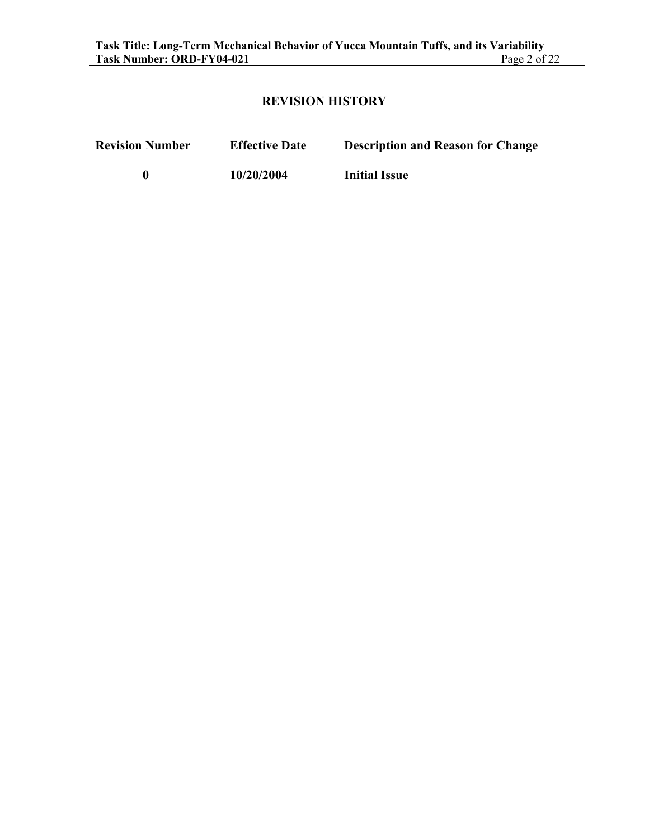#### **REVISION HISTORY**

**Revision Number Effective Date Description and Reason for Change** 

**0 10/20/2004 Initial Issue**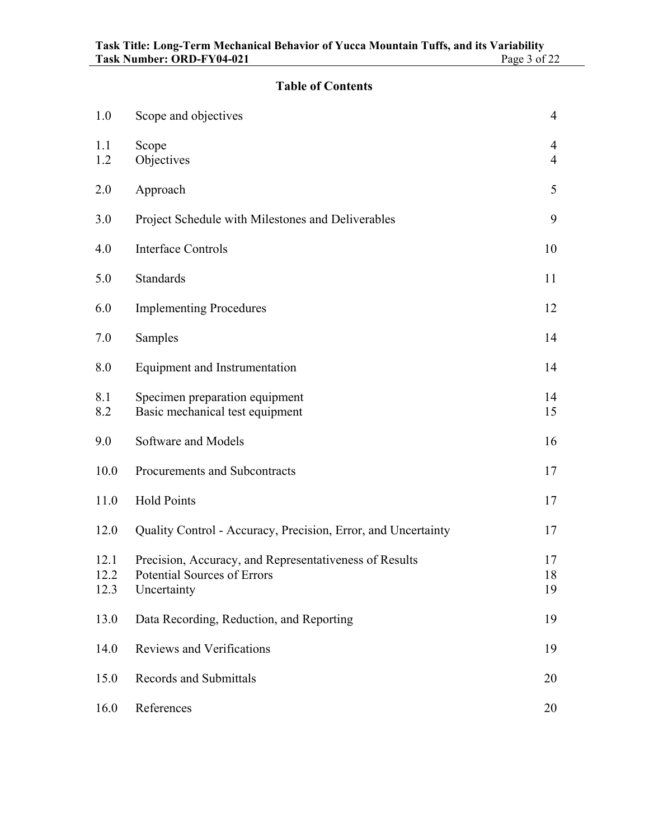### **Table of Contents**

| 1.0                  | Scope and objectives                                                                                 | $\overline{4}$                   |
|----------------------|------------------------------------------------------------------------------------------------------|----------------------------------|
| 1.1<br>1.2           | Scope<br>Objectives                                                                                  | $\overline{4}$<br>$\overline{4}$ |
| 2.0                  | Approach                                                                                             | 5                                |
| 3.0                  | Project Schedule with Milestones and Deliverables                                                    | 9                                |
| 4.0                  | <b>Interface Controls</b>                                                                            | 10                               |
| 5.0                  | <b>Standards</b>                                                                                     | 11                               |
| 6.0                  | <b>Implementing Procedures</b>                                                                       | 12                               |
| 7.0                  | Samples                                                                                              | 14                               |
| 8.0                  | Equipment and Instrumentation                                                                        | 14                               |
| 8.1<br>8.2           | Specimen preparation equipment<br>Basic mechanical test equipment                                    | 14<br>15                         |
| 9.0                  | Software and Models                                                                                  | 16                               |
| 10.0                 | Procurements and Subcontracts                                                                        | 17                               |
| 11.0                 | <b>Hold Points</b>                                                                                   | 17                               |
| 12.0                 | Quality Control - Accuracy, Precision, Error, and Uncertainty                                        | 17                               |
| 12.1<br>12.2<br>12.3 | Precision, Accuracy, and Representativeness of Results<br>Potential Sources of Errors<br>Uncertainty | 17<br>18<br>19                   |
| 13.0                 | Data Recording, Reduction, and Reporting                                                             | 19                               |
| 14.0                 | <b>Reviews and Verifications</b>                                                                     | 19                               |
| 15.0                 | <b>Records and Submittals</b>                                                                        | 20                               |
| 16.0                 | References                                                                                           | 20                               |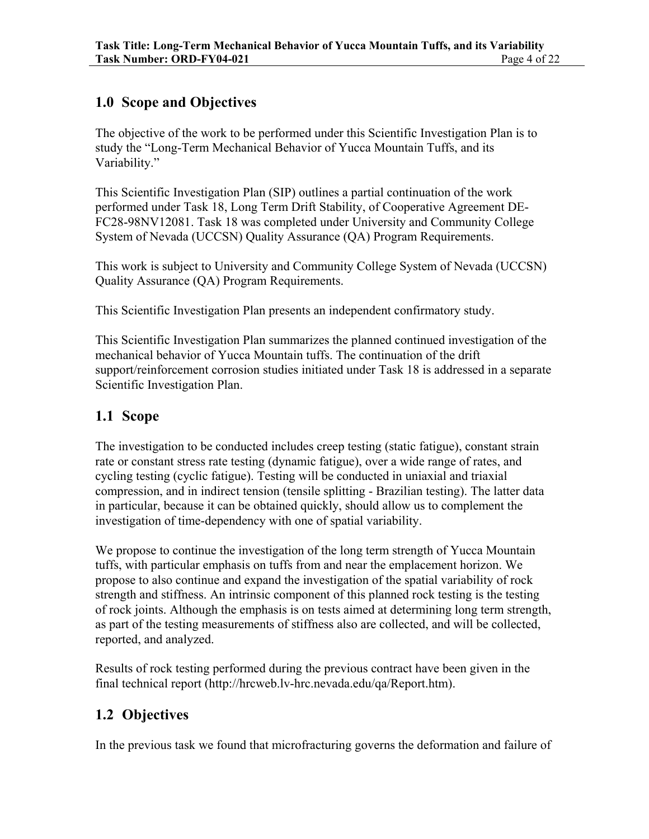### **1.0 Scope and Objectives**

The objective of the work to be performed under this Scientific Investigation Plan is to study the "Long-Term Mechanical Behavior of Yucca Mountain Tuffs, and its Variability."

This Scientific Investigation Plan (SIP) outlines a partial continuation of the work performed under Task 18, Long Term Drift Stability, of Cooperative Agreement DE-FC28-98NV12081. Task 18 was completed under University and Community College System of Nevada (UCCSN) Quality Assurance (QA) Program Requirements.

This work is subject to University and Community College System of Nevada (UCCSN) Quality Assurance (QA) Program Requirements.

This Scientific Investigation Plan presents an independent confirmatory study.

This Scientific Investigation Plan summarizes the planned continued investigation of the mechanical behavior of Yucca Mountain tuffs. The continuation of the drift support/reinforcement corrosion studies initiated under Task 18 is addressed in a separate Scientific Investigation Plan.

### **1.1 Scope**

The investigation to be conducted includes creep testing (static fatigue), constant strain rate or constant stress rate testing (dynamic fatigue), over a wide range of rates, and cycling testing (cyclic fatigue). Testing will be conducted in uniaxial and triaxial compression, and in indirect tension (tensile splitting - Brazilian testing). The latter data in particular, because it can be obtained quickly, should allow us to complement the investigation of time-dependency with one of spatial variability.

We propose to continue the investigation of the long term strength of Yucca Mountain tuffs, with particular emphasis on tuffs from and near the emplacement horizon. We propose to also continue and expand the investigation of the spatial variability of rock strength and stiffness. An intrinsic component of this planned rock testing is the testing of rock joints. Although the emphasis is on tests aimed at determining long term strength, as part of the testing measurements of stiffness also are collected, and will be collected, reported, and analyzed.

Results of rock testing performed during the previous contract have been given in the final technical report (http://hrcweb.lv-hrc.nevada.edu/qa/Report.htm).

### **1.2 Objectives**

In the previous task we found that microfracturing governs the deformation and failure of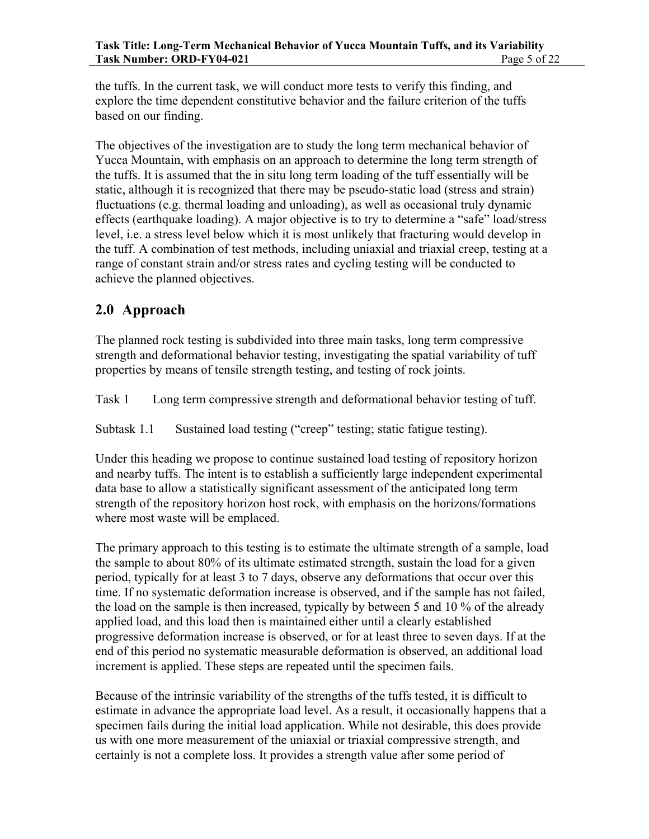the tuffs. In the current task, we will conduct more tests to verify this finding, and explore the time dependent constitutive behavior and the failure criterion of the tuffs based on our finding.

The objectives of the investigation are to study the long term mechanical behavior of Yucca Mountain, with emphasis on an approach to determine the long term strength of the tuffs. It is assumed that the in situ long term loading of the tuff essentially will be static, although it is recognized that there may be pseudo-static load (stress and strain) fluctuations (e.g. thermal loading and unloading), as well as occasional truly dynamic effects (earthquake loading). A major objective is to try to determine a "safe" load/stress level, i.e. a stress level below which it is most unlikely that fracturing would develop in the tuff. A combination of test methods, including uniaxial and triaxial creep, testing at a range of constant strain and/or stress rates and cycling testing will be conducted to achieve the planned objectives.

### **2.0 Approach**

The planned rock testing is subdivided into three main tasks, long term compressive strength and deformational behavior testing, investigating the spatial variability of tuff properties by means of tensile strength testing, and testing of rock joints.

Task 1 Long term compressive strength and deformational behavior testing of tuff.

Subtask 1.1 Sustained load testing ("creep" testing; static fatigue testing).

Under this heading we propose to continue sustained load testing of repository horizon and nearby tuffs. The intent is to establish a sufficiently large independent experimental data base to allow a statistically significant assessment of the anticipated long term strength of the repository horizon host rock, with emphasis on the horizons/formations where most waste will be emplaced.

The primary approach to this testing is to estimate the ultimate strength of a sample, load the sample to about 80% of its ultimate estimated strength, sustain the load for a given period, typically for at least 3 to 7 days, observe any deformations that occur over this time. If no systematic deformation increase is observed, and if the sample has not failed, the load on the sample is then increased, typically by between 5 and 10 % of the already applied load, and this load then is maintained either until a clearly established progressive deformation increase is observed, or for at least three to seven days. If at the end of this period no systematic measurable deformation is observed, an additional load increment is applied. These steps are repeated until the specimen fails.

Because of the intrinsic variability of the strengths of the tuffs tested, it is difficult to estimate in advance the appropriate load level. As a result, it occasionally happens that a specimen fails during the initial load application. While not desirable, this does provide us with one more measurement of the uniaxial or triaxial compressive strength, and certainly is not a complete loss. It provides a strength value after some period of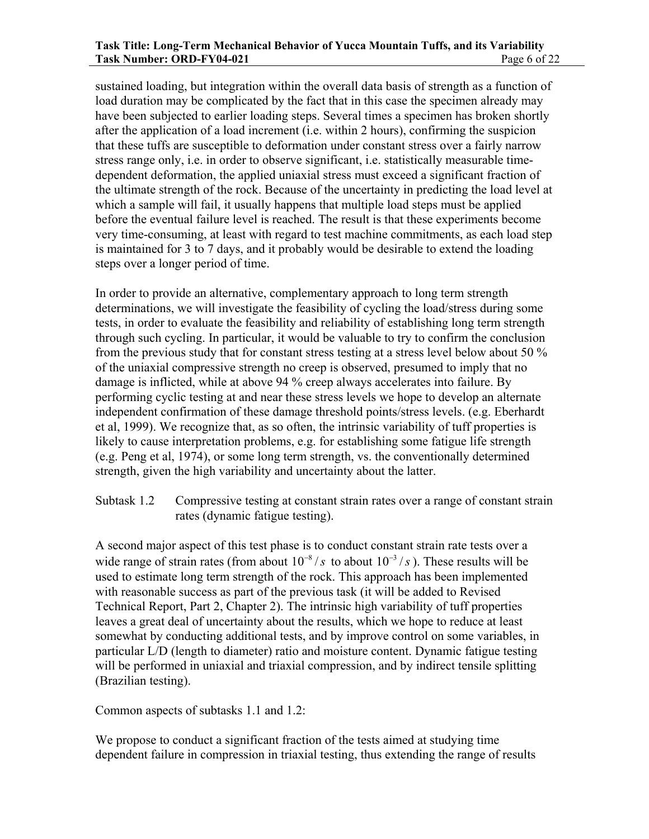#### **Task Title: Long-Term Mechanical Behavior of Yucca Mountain Tuffs, and its Variability Task Number: ORD-FY04-021 Page 6 of 22**

sustained loading, but integration within the overall data basis of strength as a function of load duration may be complicated by the fact that in this case the specimen already may have been subjected to earlier loading steps. Several times a specimen has broken shortly after the application of a load increment (i.e. within 2 hours), confirming the suspicion that these tuffs are susceptible to deformation under constant stress over a fairly narrow stress range only, i.e. in order to observe significant, i.e. statistically measurable timedependent deformation, the applied uniaxial stress must exceed a significant fraction of the ultimate strength of the rock. Because of the uncertainty in predicting the load level at which a sample will fail, it usually happens that multiple load steps must be applied before the eventual failure level is reached. The result is that these experiments become very time-consuming, at least with regard to test machine commitments, as each load step is maintained for 3 to 7 days, and it probably would be desirable to extend the loading steps over a longer period of time.

In order to provide an alternative, complementary approach to long term strength determinations, we will investigate the feasibility of cycling the load/stress during some tests, in order to evaluate the feasibility and reliability of establishing long term strength through such cycling. In particular, it would be valuable to try to confirm the conclusion from the previous study that for constant stress testing at a stress level below about 50 % of the uniaxial compressive strength no creep is observed, presumed to imply that no damage is inflicted, while at above 94 % creep always accelerates into failure. By performing cyclic testing at and near these stress levels we hope to develop an alternate independent confirmation of these damage threshold points/stress levels. (e.g. Eberhardt et al, 1999). We recognize that, as so often, the intrinsic variability of tuff properties is likely to cause interpretation problems, e.g. for establishing some fatigue life strength (e.g. Peng et al, 1974), or some long term strength, vs. the conventionally determined strength, given the high variability and uncertainty about the latter.

Subtask 1.2 Compressive testing at constant strain rates over a range of constant strain rates (dynamic fatigue testing).

A second major aspect of this test phase is to conduct constant strain rate tests over a wide range of strain rates (from about  $10^{-8}/s$  to about  $10^{-3}/s$ ). These results will be used to estimate long term strength of the rock. This approach has been implemented with reasonable success as part of the previous task (it will be added to Revised Technical Report, Part 2, Chapter 2). The intrinsic high variability of tuff properties leaves a great deal of uncertainty about the results, which we hope to reduce at least somewhat by conducting additional tests, and by improve control on some variables, in particular L/D (length to diameter) ratio and moisture content. Dynamic fatigue testing will be performed in uniaxial and triaxial compression, and by indirect tensile splitting (Brazilian testing).

Common aspects of subtasks 1.1 and 1.2:

We propose to conduct a significant fraction of the tests aimed at studying time dependent failure in compression in triaxial testing, thus extending the range of results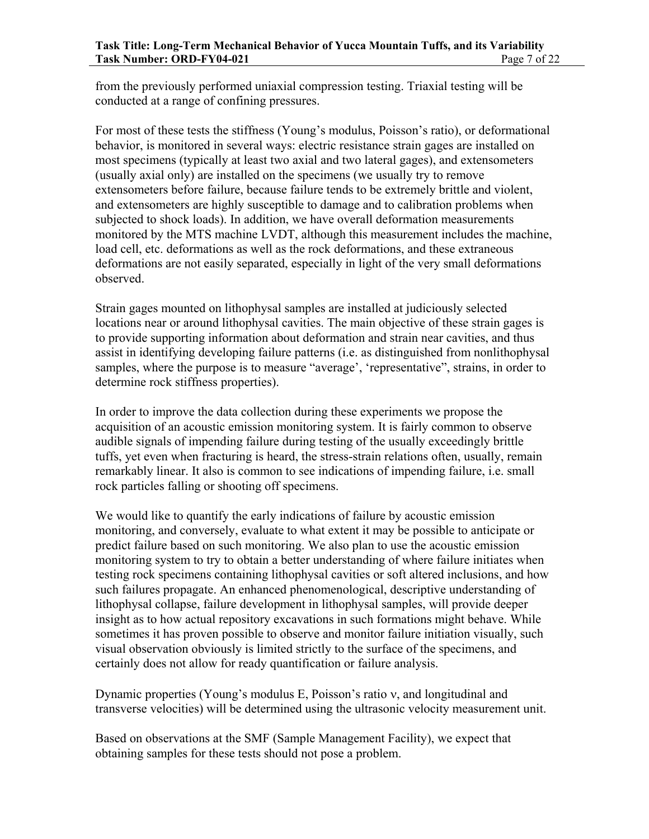from the previously performed uniaxial compression testing. Triaxial testing will be conducted at a range of confining pressures.

For most of these tests the stiffness (Young's modulus, Poisson's ratio), or deformational behavior, is monitored in several ways: electric resistance strain gages are installed on most specimens (typically at least two axial and two lateral gages), and extensometers (usually axial only) are installed on the specimens (we usually try to remove extensometers before failure, because failure tends to be extremely brittle and violent, and extensometers are highly susceptible to damage and to calibration problems when subjected to shock loads). In addition, we have overall deformation measurements monitored by the MTS machine LVDT, although this measurement includes the machine, load cell, etc. deformations as well as the rock deformations, and these extraneous deformations are not easily separated, especially in light of the very small deformations observed.

Strain gages mounted on lithophysal samples are installed at judiciously selected locations near or around lithophysal cavities. The main objective of these strain gages is to provide supporting information about deformation and strain near cavities, and thus assist in identifying developing failure patterns (i.e. as distinguished from nonlithophysal samples, where the purpose is to measure "average', 'representative", strains, in order to determine rock stiffness properties).

In order to improve the data collection during these experiments we propose the acquisition of an acoustic emission monitoring system. It is fairly common to observe audible signals of impending failure during testing of the usually exceedingly brittle tuffs, yet even when fracturing is heard, the stress-strain relations often, usually, remain remarkably linear. It also is common to see indications of impending failure, i.e. small rock particles falling or shooting off specimens.

We would like to quantify the early indications of failure by acoustic emission monitoring, and conversely, evaluate to what extent it may be possible to anticipate or predict failure based on such monitoring. We also plan to use the acoustic emission monitoring system to try to obtain a better understanding of where failure initiates when testing rock specimens containing lithophysal cavities or soft altered inclusions, and how such failures propagate. An enhanced phenomenological, descriptive understanding of lithophysal collapse, failure development in lithophysal samples, will provide deeper insight as to how actual repository excavations in such formations might behave. While sometimes it has proven possible to observe and monitor failure initiation visually, such visual observation obviously is limited strictly to the surface of the specimens, and certainly does not allow for ready quantification or failure analysis.

Dynamic properties (Young's modulus E, Poisson's ratio ν, and longitudinal and transverse velocities) will be determined using the ultrasonic velocity measurement unit.

Based on observations at the SMF (Sample Management Facility), we expect that obtaining samples for these tests should not pose a problem.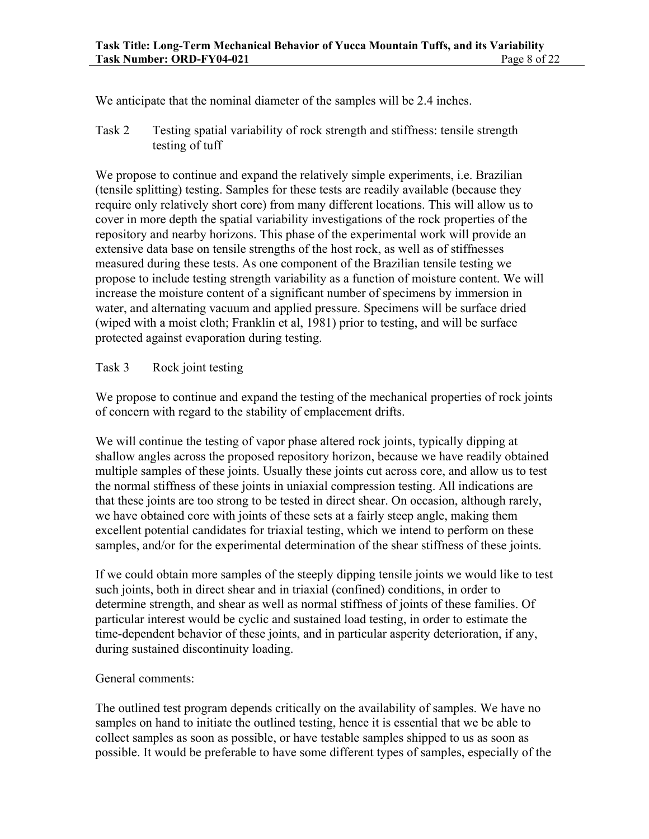We anticipate that the nominal diameter of the samples will be 2.4 inches.

Task 2 Testing spatial variability of rock strength and stiffness: tensile strength testing of tuff

We propose to continue and expand the relatively simple experiments, i.e. Brazilian (tensile splitting) testing. Samples for these tests are readily available (because they require only relatively short core) from many different locations. This will allow us to cover in more depth the spatial variability investigations of the rock properties of the repository and nearby horizons. This phase of the experimental work will provide an extensive data base on tensile strengths of the host rock, as well as of stiffnesses measured during these tests. As one component of the Brazilian tensile testing we propose to include testing strength variability as a function of moisture content. We will increase the moisture content of a significant number of specimens by immersion in water, and alternating vacuum and applied pressure. Specimens will be surface dried (wiped with a moist cloth; Franklin et al, 1981) prior to testing, and will be surface protected against evaporation during testing.

#### Task 3 Rock joint testing

We propose to continue and expand the testing of the mechanical properties of rock joints of concern with regard to the stability of emplacement drifts.

We will continue the testing of vapor phase altered rock joints, typically dipping at shallow angles across the proposed repository horizon, because we have readily obtained multiple samples of these joints. Usually these joints cut across core, and allow us to test the normal stiffness of these joints in uniaxial compression testing. All indications are that these joints are too strong to be tested in direct shear. On occasion, although rarely, we have obtained core with joints of these sets at a fairly steep angle, making them excellent potential candidates for triaxial testing, which we intend to perform on these samples, and/or for the experimental determination of the shear stiffness of these joints.

If we could obtain more samples of the steeply dipping tensile joints we would like to test such joints, both in direct shear and in triaxial (confined) conditions, in order to determine strength, and shear as well as normal stiffness of joints of these families. Of particular interest would be cyclic and sustained load testing, in order to estimate the time-dependent behavior of these joints, and in particular asperity deterioration, if any, during sustained discontinuity loading.

#### General comments:

The outlined test program depends critically on the availability of samples. We have no samples on hand to initiate the outlined testing, hence it is essential that we be able to collect samples as soon as possible, or have testable samples shipped to us as soon as possible. It would be preferable to have some different types of samples, especially of the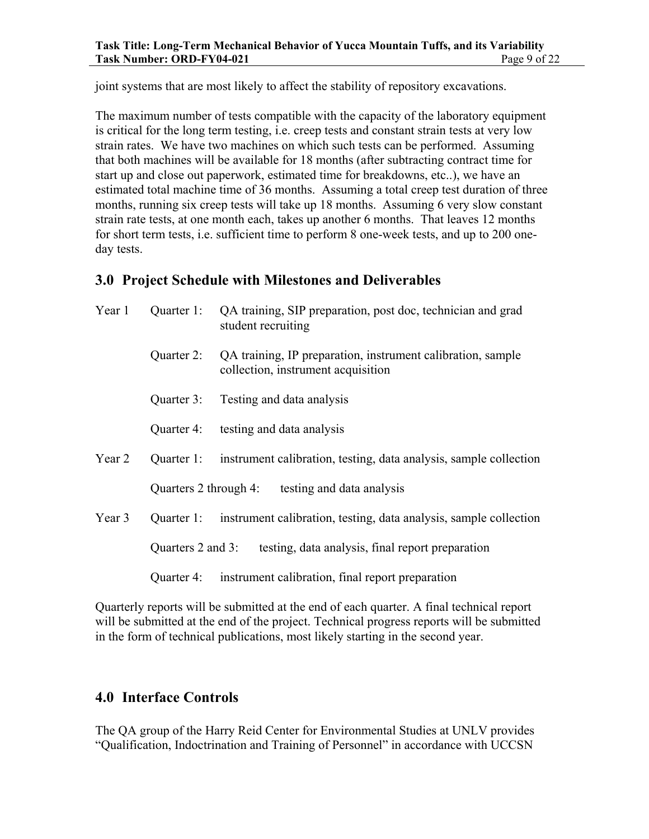joint systems that are most likely to affect the stability of repository excavations.

The maximum number of tests compatible with the capacity of the laboratory equipment is critical for the long term testing, i.e. creep tests and constant strain tests at very low strain rates. We have two machines on which such tests can be performed. Assuming that both machines will be available for 18 months (after subtracting contract time for start up and close out paperwork, estimated time for breakdowns, etc..), we have an estimated total machine time of 36 months. Assuming a total creep test duration of three months, running six creep tests will take up 18 months. Assuming 6 very slow constant strain rate tests, at one month each, takes up another 6 months. That leaves 12 months for short term tests, i.e. sufficient time to perform 8 one-week tests, and up to 200 oneday tests.

### **3.0 Project Schedule with Milestones and Deliverables**

| Year 1 | Quarter 1:                                                         | QA training, SIP preparation, post doc, technician and grad<br>student recruiting                 |  |  |  |  |
|--------|--------------------------------------------------------------------|---------------------------------------------------------------------------------------------------|--|--|--|--|
|        | Quarter 2:                                                         | QA training, IP preparation, instrument calibration, sample<br>collection, instrument acquisition |  |  |  |  |
|        | Quarter 3:                                                         | Testing and data analysis                                                                         |  |  |  |  |
|        | Quarter 4:                                                         | testing and data analysis                                                                         |  |  |  |  |
| Year 2 |                                                                    | Quarter 1: instrument calibration, testing, data analysis, sample collection                      |  |  |  |  |
|        | Quarters 2 through 4: testing and data analysis                    |                                                                                                   |  |  |  |  |
| Year 3 |                                                                    | Quarter 1: instrument calibration, testing, data analysis, sample collection                      |  |  |  |  |
|        | Quarters 2 and 3: testing, data analysis, final report preparation |                                                                                                   |  |  |  |  |
|        | Quarter 4:                                                         | instrument calibration, final report preparation                                                  |  |  |  |  |

Quarterly reports will be submitted at the end of each quarter. A final technical report will be submitted at the end of the project. Technical progress reports will be submitted in the form of technical publications, most likely starting in the second year.

### **4.0 Interface Controls**

The QA group of the Harry Reid Center for Environmental Studies at UNLV provides "Qualification, Indoctrination and Training of Personnel" in accordance with UCCSN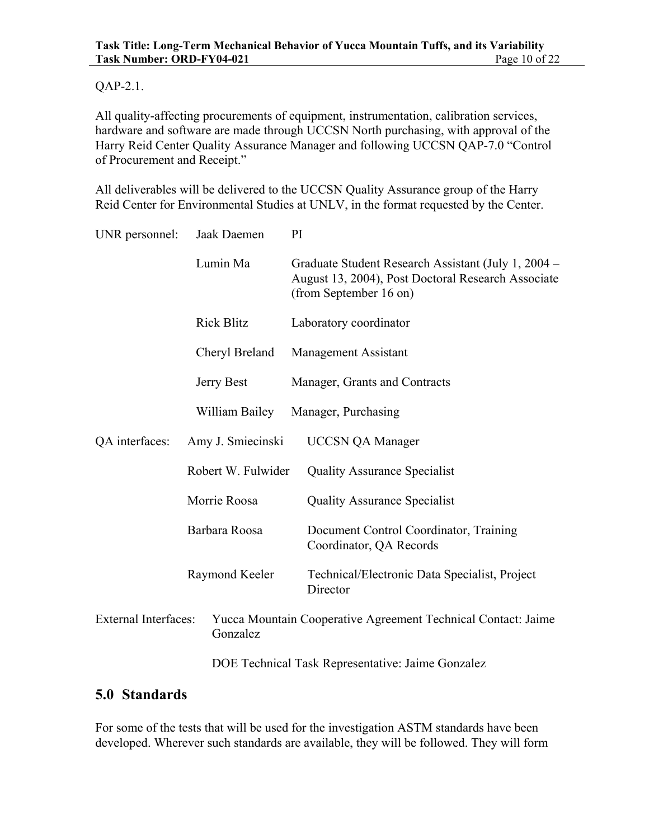#### QAP-2.1.

All quality-affecting procurements of equipment, instrumentation, calibration services, hardware and software are made through UCCSN North purchasing, with approval of the Harry Reid Center Quality Assurance Manager and following UCCSN QAP-7.0 "Control of Procurement and Receipt."

All deliverables will be delivered to the UCCSN Quality Assurance group of the Harry Reid Center for Environmental Studies at UNLV, in the format requested by the Center.

| UNR personnel:                          | Jaak Daemen        |  | PI                                                                                                                                  |  |
|-----------------------------------------|--------------------|--|-------------------------------------------------------------------------------------------------------------------------------------|--|
|                                         | Lumin Ma           |  | Graduate Student Research Assistant (July 1, 2004 –<br>August 13, 2004), Post Doctoral Research Associate<br>(from September 16 on) |  |
|                                         | <b>Rick Blitz</b>  |  | Laboratory coordinator                                                                                                              |  |
|                                         | Cheryl Breland     |  | Management Assistant                                                                                                                |  |
|                                         | Jerry Best         |  | Manager, Grants and Contracts                                                                                                       |  |
|                                         | William Bailey     |  | Manager, Purchasing                                                                                                                 |  |
| QA interfaces:                          | Amy J. Smiecinski  |  | <b>UCCSN QA Manager</b>                                                                                                             |  |
|                                         | Robert W. Fulwider |  | <b>Quality Assurance Specialist</b>                                                                                                 |  |
|                                         | Morrie Roosa       |  | <b>Quality Assurance Specialist</b>                                                                                                 |  |
|                                         | Barbara Roosa      |  | Document Control Coordinator, Training<br>Coordinator, QA Records                                                                   |  |
|                                         | Raymond Keeler     |  | Technical/Electronic Data Specialist, Project<br>Director                                                                           |  |
| <b>External Interfaces:</b><br>Gonzalez |                    |  | Yucca Mountain Cooperative Agreement Technical Contact: Jaime                                                                       |  |
|                                         |                    |  | DOE Technical Task Representative: Jaime Gonzalez                                                                                   |  |

### **5.0 Standards**

For some of the tests that will be used for the investigation ASTM standards have been developed. Wherever such standards are available, they will be followed. They will form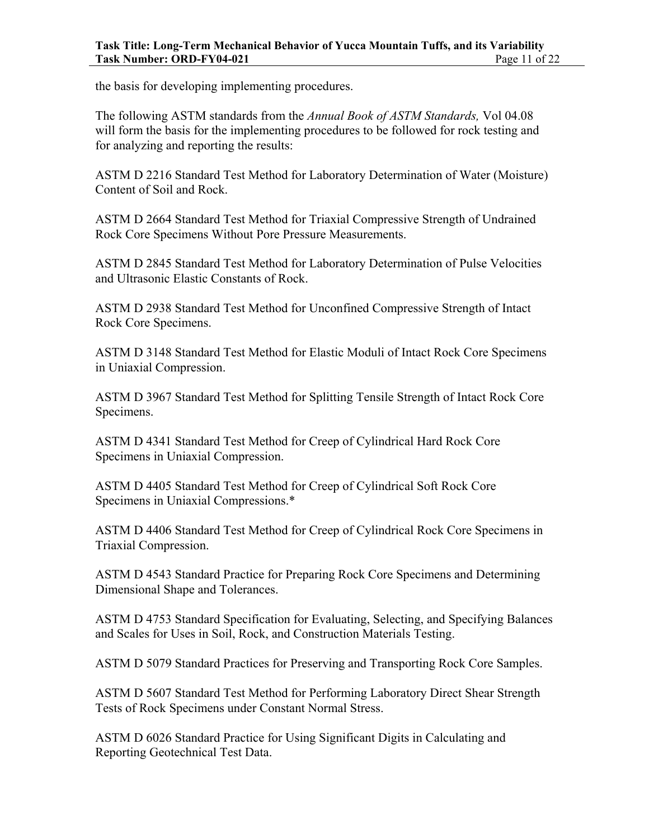the basis for developing implementing procedures.

The following ASTM standards from the *Annual Book of ASTM Standards,* Vol 04.08 will form the basis for the implementing procedures to be followed for rock testing and for analyzing and reporting the results:

ASTM D 2216 Standard Test Method for Laboratory Determination of Water (Moisture) Content of Soil and Rock.

ASTM D 2664 Standard Test Method for Triaxial Compressive Strength of Undrained Rock Core Specimens Without Pore Pressure Measurements.

ASTM D 2845 Standard Test Method for Laboratory Determination of Pulse Velocities and Ultrasonic Elastic Constants of Rock.

ASTM D 2938 Standard Test Method for Unconfined Compressive Strength of Intact Rock Core Specimens.

ASTM D 3148 Standard Test Method for Elastic Moduli of Intact Rock Core Specimens in Uniaxial Compression.

ASTM D 3967 Standard Test Method for Splitting Tensile Strength of Intact Rock Core Specimens.

ASTM D 4341 Standard Test Method for Creep of Cylindrical Hard Rock Core Specimens in Uniaxial Compression.

ASTM D 4405 Standard Test Method for Creep of Cylindrical Soft Rock Core Specimens in Uniaxial Compressions.\*

ASTM D 4406 Standard Test Method for Creep of Cylindrical Rock Core Specimens in Triaxial Compression.

ASTM D 4543 Standard Practice for Preparing Rock Core Specimens and Determining Dimensional Shape and Tolerances.

ASTM D 4753 Standard Specification for Evaluating, Selecting, and Specifying Balances and Scales for Uses in Soil, Rock, and Construction Materials Testing.

ASTM D 5079 Standard Practices for Preserving and Transporting Rock Core Samples.

ASTM D 5607 Standard Test Method for Performing Laboratory Direct Shear Strength Tests of Rock Specimens under Constant Normal Stress.

ASTM D 6026 Standard Practice for Using Significant Digits in Calculating and Reporting Geotechnical Test Data.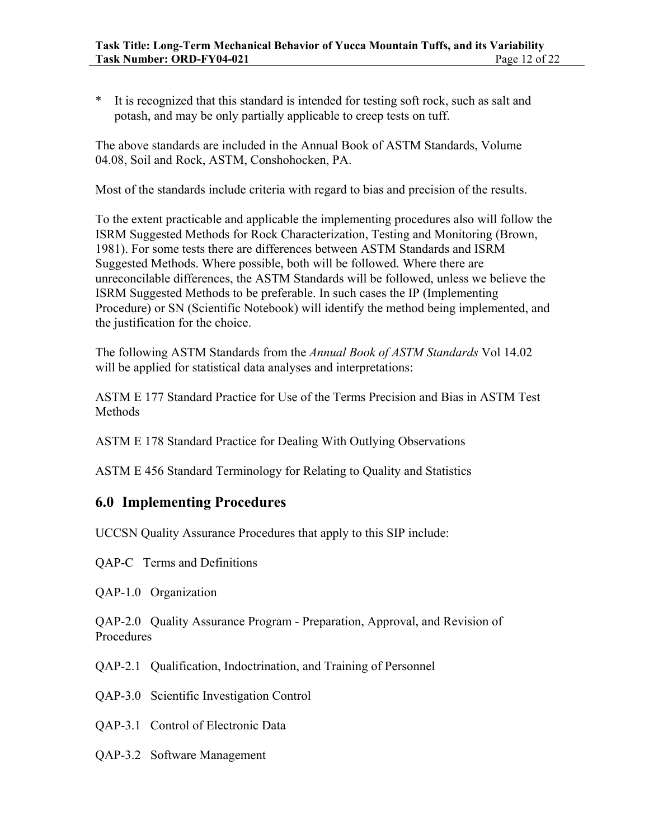\* It is recognized that this standard is intended for testing soft rock, such as salt and potash, and may be only partially applicable to creep tests on tuff.

The above standards are included in the Annual Book of ASTM Standards, Volume 04.08, Soil and Rock, ASTM, Conshohocken, PA.

Most of the standards include criteria with regard to bias and precision of the results.

To the extent practicable and applicable the implementing procedures also will follow the ISRM Suggested Methods for Rock Characterization, Testing and Monitoring (Brown, 1981). For some tests there are differences between ASTM Standards and ISRM Suggested Methods. Where possible, both will be followed. Where there are unreconcilable differences, the ASTM Standards will be followed, unless we believe the ISRM Suggested Methods to be preferable. In such cases the IP (Implementing Procedure) or SN (Scientific Notebook) will identify the method being implemented, and the justification for the choice.

The following ASTM Standards from the *Annual Book of ASTM Standards* Vol 14.02 will be applied for statistical data analyses and interpretations:

ASTM E 177 Standard Practice for Use of the Terms Precision and Bias in ASTM Test Methods

ASTM E 178 Standard Practice for Dealing With Outlying Observations

ASTM E 456 Standard Terminology for Relating to Quality and Statistics

### **6.0 Implementing Procedures**

UCCSN Quality Assurance Procedures that apply to this SIP include:

QAP-C Terms and Definitions

QAP-1.0 Organization

QAP-2.0 Quality Assurance Program - Preparation, Approval, and Revision of Procedures

QAP-2.1 Qualification, Indoctrination, and Training of Personnel

QAP-3.0 Scientific Investigation Control

QAP-3.1 Control of Electronic Data

QAP-3.2 Software Management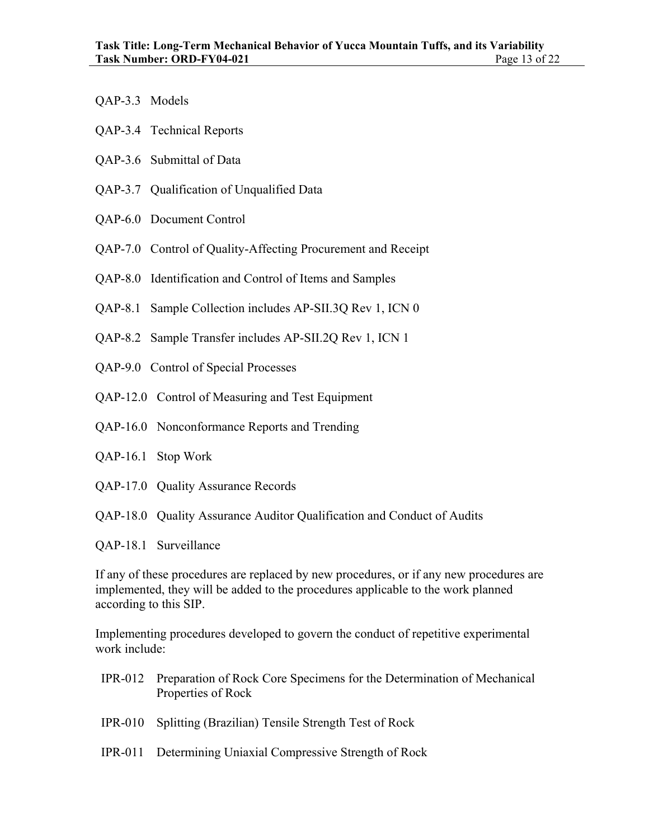- QAP-3.3 Models
- QAP-3.4 Technical Reports
- QAP-3.6 Submittal of Data
- QAP-3.7 Qualification of Unqualified Data
- QAP-6.0 Document Control
- QAP-7.0 Control of Quality-Affecting Procurement and Receipt
- QAP-8.0 Identification and Control of Items and Samples
- QAP-8.1 Sample Collection includes AP-SII.3Q Rev 1, ICN 0
- QAP-8.2 Sample Transfer includes AP-SII.2Q Rev 1, ICN 1
- QAP-9.0 Control of Special Processes
- QAP-12.0 Control of Measuring and Test Equipment
- QAP-16.0 Nonconformance Reports and Trending
- QAP-16.1 Stop Work
- QAP-17.0 Quality Assurance Records
- QAP-18.0 Quality Assurance Auditor Qualification and Conduct of Audits
- QAP-18.1 Surveillance

If any of these procedures are replaced by new procedures, or if any new procedures are implemented, they will be added to the procedures applicable to the work planned according to this SIP.

Implementing procedures developed to govern the conduct of repetitive experimental work include:

- IPR-012 Preparation of Rock Core Specimens for the Determination of Mechanical Properties of Rock
- IPR-010 Splitting (Brazilian) Tensile Strength Test of Rock
- IPR-011 Determining Uniaxial Compressive Strength of Rock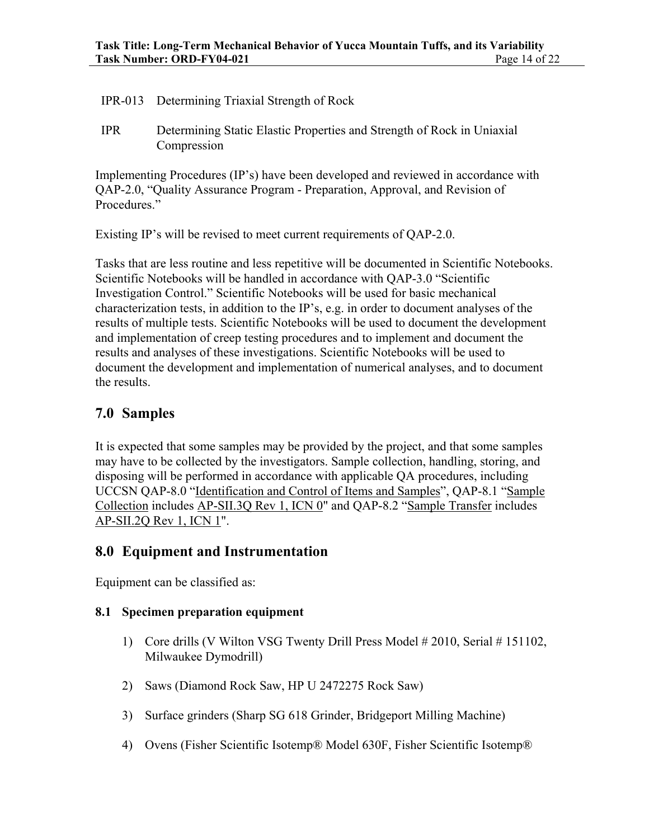#### IPR-013 Determining Triaxial Strength of Rock

IPR Determining Static Elastic Properties and Strength of Rock in Uniaxial Compression

Implementing Procedures (IP's) have been developed and reviewed in accordance with QAP-2.0, "Quality Assurance Program - Preparation, Approval, and Revision of Procedures."

Existing IP's will be revised to meet current requirements of QAP-2.0.

Tasks that are less routine and less repetitive will be documented in Scientific Notebooks. Scientific Notebooks will be handled in accordance with QAP-3.0 "Scientific Investigation Control." Scientific Notebooks will be used for basic mechanical characterization tests, in addition to the IP's, e.g. in order to document analyses of the results of multiple tests. Scientific Notebooks will be used to document the development and implementation of creep testing procedures and to implement and document the results and analyses of these investigations. Scientific Notebooks will be used to document the development and implementation of numerical analyses, and to document the results.

### **7.0 Samples**

It is expected that some samples may be provided by the project, and that some samples may have to be collected by the investigators. Sample collection, handling, storing, and disposing will be performed in accordance with applicable QA procedures, including UCCSN QAP-8.0 "Identification and Control of Items and Samples", QAP-8.1 "Sample Collection includes AP-SII.3Q Rev 1, ICN 0" and QAP-8.2 "Sample Transfer includes AP-SII.2Q Rev 1, ICN 1".

### **8.0 Equipment and Instrumentation**

Equipment can be classified as:

#### **8.1 Specimen preparation equipment**

- 1) Core drills (V Wilton VSG Twenty Drill Press Model # 2010, Serial # 151102, Milwaukee Dymodrill)
- 2) Saws (Diamond Rock Saw, HP U 2472275 Rock Saw)
- 3) Surface grinders (Sharp SG 618 Grinder, Bridgeport Milling Machine)
- 4) Ovens (Fisher Scientific Isotemp® Model 630F, Fisher Scientific Isotemp®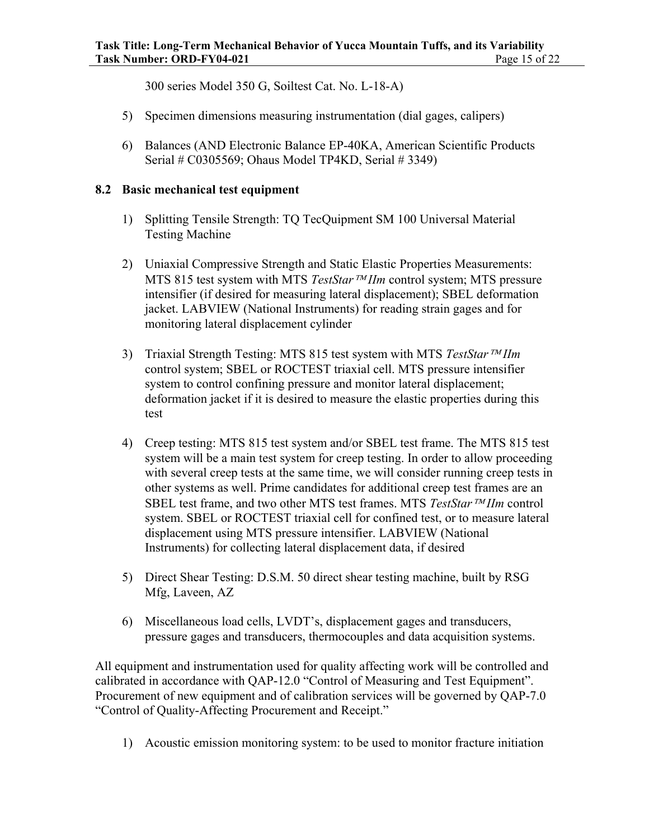300 series Model 350 G, Soiltest Cat. No. L-18-A)

- 5) Specimen dimensions measuring instrumentation (dial gages, calipers)
- 6) Balances (AND Electronic Balance EP-40KA, American Scientific Products Serial # C0305569; Ohaus Model TP4KD, Serial # 3349)

#### **8.2 Basic mechanical test equipment**

- 1) Splitting Tensile Strength: TQ TecQuipment SM 100 Universal Material Testing Machine
- 2) Uniaxial Compressive Strength and Static Elastic Properties Measurements: MTS 815 test system with MTS *TestStar*<sup>*TM</sup>IIm* control system; MTS pressure</sup> intensifier (if desired for measuring lateral displacement); SBEL deformation jacket. LABVIEW (National Instruments) for reading strain gages and for monitoring lateral displacement cylinder
- 3) Triaxial Strength Testing: MTS 815 test system with MTS *TestStar*<sup>*TM*</sup>*IIm* control system; SBEL or ROCTEST triaxial cell. MTS pressure intensifier system to control confining pressure and monitor lateral displacement; deformation jacket if it is desired to measure the elastic properties during this test
- 4) Creep testing: MTS 815 test system and/or SBEL test frame. The MTS 815 test system will be a main test system for creep testing. In order to allow proceeding with several creep tests at the same time, we will consider running creep tests in other systems as well. Prime candidates for additional creep test frames are an SBEL test frame, and two other MTS test frames. MTS *TestStar*<sup>*TM*</sup>*IIm* control system. SBEL or ROCTEST triaxial cell for confined test, or to measure lateral displacement using MTS pressure intensifier. LABVIEW (National Instruments) for collecting lateral displacement data, if desired
- 5) Direct Shear Testing: D.S.M. 50 direct shear testing machine, built by RSG Mfg, Laveen, AZ
- 6) Miscellaneous load cells, LVDT's, displacement gages and transducers, pressure gages and transducers, thermocouples and data acquisition systems.

All equipment and instrumentation used for quality affecting work will be controlled and calibrated in accordance with QAP-12.0 "Control of Measuring and Test Equipment". Procurement of new equipment and of calibration services will be governed by QAP-7.0 "Control of Quality-Affecting Procurement and Receipt."

1) Acoustic emission monitoring system: to be used to monitor fracture initiation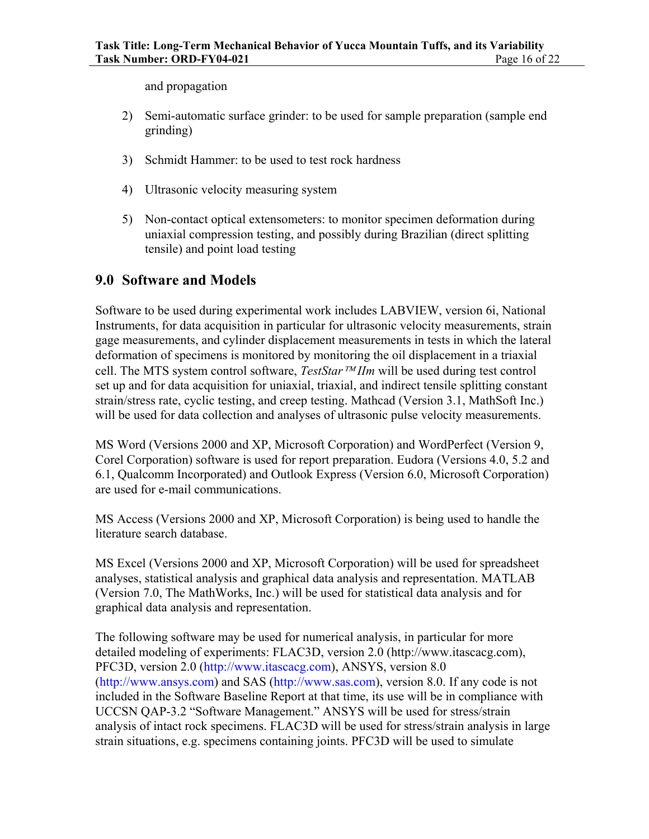and propagation

- 2) Semi-automatic surface grinder: to be used for sample preparation (sample end grinding)
- 3) Schmidt Hammer: to be used to test rock hardness
- 4) Ultrasonic velocity measuring system
- 5) Non-contact optical extensometers: to monitor specimen deformation during uniaxial compression testing, and possibly during Brazilian (direct splitting tensile) and point load testing

### **9.0 Software and Models**

Software to be used during experimental work includes LABVIEW, version 6i, National Instruments, for data acquisition in particular for ultrasonic velocity measurements, strain gage measurements, and cylinder displacement measurements in tests in which the lateral deformation of specimens is monitored by monitoring the oil displacement in a triaxial cell. The MTS system control software, *TestStar IIm* will be used during test control set up and for data acquisition for uniaxial, triaxial, and indirect tensile splitting constant strain/stress rate, cyclic testing, and creep testing. Mathcad (Version 3.1, MathSoft Inc.) will be used for data collection and analyses of ultrasonic pulse velocity measurements.

MS Word (Versions 2000 and XP, Microsoft Corporation) and WordPerfect (Version 9, Corel Corporation) software is used for report preparation. Eudora (Versions 4.0, 5.2 and 6.1, Qualcomm Incorporated) and Outlook Express (Version 6.0, Microsoft Corporation) are used for e-mail communications.

MS Access (Versions 2000 and XP, Microsoft Corporation) is being used to handle the literature search database.

MS Excel (Versions 2000 and XP, Microsoft Corporation) will be used for spreadsheet analyses, statistical analysis and graphical data analysis and representation. MATLAB (Version 7.0, The MathWorks, Inc.) will be used for statistical data analysis and for graphical data analysis and representation.

The following software may be used for numerical analysis, in particular for more detailed modeling of experiments: FLAC3D, version 2.0 (http://www.itascacg.com), PFC3D, version 2.0 (http://www.itascacg.com), ANSYS, version 8.0 (http://www.ansys.com) and SAS (http://www.sas.com), version 8.0. If any code is not included in the Software Baseline Report at that time, its use will be in compliance with UCCSN QAP-3.2 "Software Management." ANSYS will be used for stress/strain analysis of intact rock specimens. FLAC3D will be used for stress/strain analysis in large strain situations, e.g. specimens containing joints. PFC3D will be used to simulate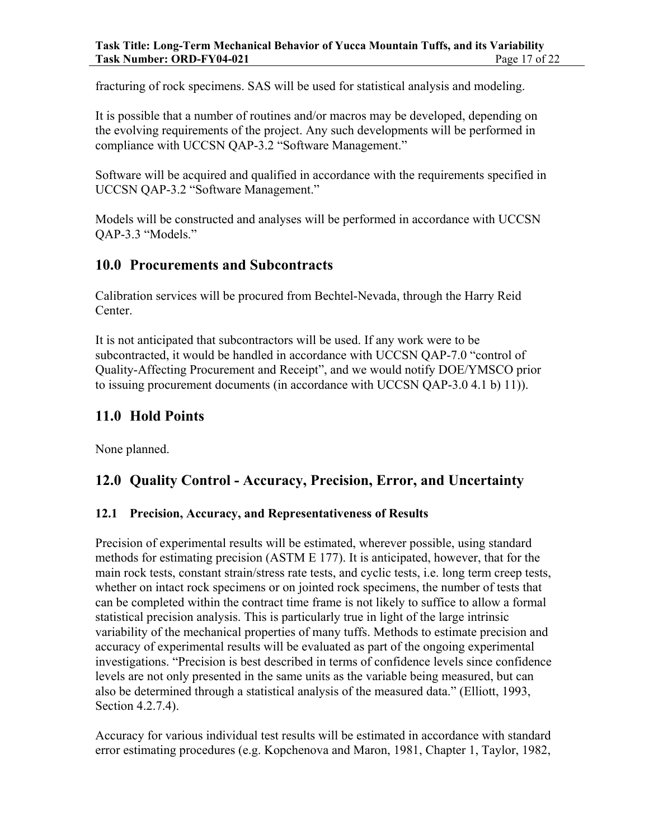fracturing of rock specimens. SAS will be used for statistical analysis and modeling.

It is possible that a number of routines and/or macros may be developed, depending on the evolving requirements of the project. Any such developments will be performed in compliance with UCCSN QAP-3.2 "Software Management."

Software will be acquired and qualified in accordance with the requirements specified in UCCSN QAP-3.2 "Software Management."

Models will be constructed and analyses will be performed in accordance with UCCSN QAP-3.3 "Models."

### **10.0 Procurements and Subcontracts**

Calibration services will be procured from Bechtel-Nevada, through the Harry Reid Center.

It is not anticipated that subcontractors will be used. If any work were to be subcontracted, it would be handled in accordance with UCCSN QAP-7.0 "control of Quality-Affecting Procurement and Receipt", and we would notify DOE/YMSCO prior to issuing procurement documents (in accordance with UCCSN QAP-3.0 4.1 b) 11)).

### **11.0 Hold Points**

None planned.

### **12.0 Quality Control - Accuracy, Precision, Error, and Uncertainty**

### **12.1 Precision, Accuracy, and Representativeness of Results**

Precision of experimental results will be estimated, wherever possible, using standard methods for estimating precision (ASTM E 177). It is anticipated, however, that for the main rock tests, constant strain/stress rate tests, and cyclic tests, i.e. long term creep tests, whether on intact rock specimens or on jointed rock specimens, the number of tests that can be completed within the contract time frame is not likely to suffice to allow a formal statistical precision analysis. This is particularly true in light of the large intrinsic variability of the mechanical properties of many tuffs. Methods to estimate precision and accuracy of experimental results will be evaluated as part of the ongoing experimental investigations. "Precision is best described in terms of confidence levels since confidence levels are not only presented in the same units as the variable being measured, but can also be determined through a statistical analysis of the measured data." (Elliott, 1993, Section 4.2.7.4).

Accuracy for various individual test results will be estimated in accordance with standard error estimating procedures (e.g. Kopchenova and Maron, 1981, Chapter 1, Taylor, 1982,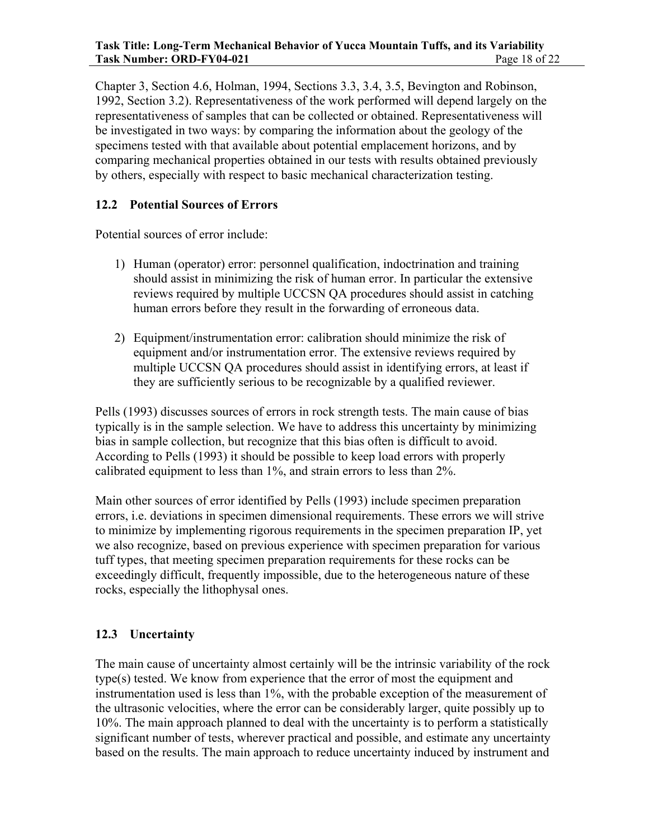Chapter 3, Section 4.6, Holman, 1994, Sections 3.3, 3.4, 3.5, Bevington and Robinson, 1992, Section 3.2). Representativeness of the work performed will depend largely on the representativeness of samples that can be collected or obtained. Representativeness will be investigated in two ways: by comparing the information about the geology of the specimens tested with that available about potential emplacement horizons, and by comparing mechanical properties obtained in our tests with results obtained previously by others, especially with respect to basic mechanical characterization testing.

#### **12.2 Potential Sources of Errors**

Potential sources of error include:

- 1) Human (operator) error: personnel qualification, indoctrination and training should assist in minimizing the risk of human error. In particular the extensive reviews required by multiple UCCSN QA procedures should assist in catching human errors before they result in the forwarding of erroneous data.
- 2) Equipment/instrumentation error: calibration should minimize the risk of equipment and/or instrumentation error. The extensive reviews required by multiple UCCSN QA procedures should assist in identifying errors, at least if they are sufficiently serious to be recognizable by a qualified reviewer.

Pells (1993) discusses sources of errors in rock strength tests. The main cause of bias typically is in the sample selection. We have to address this uncertainty by minimizing bias in sample collection, but recognize that this bias often is difficult to avoid. According to Pells (1993) it should be possible to keep load errors with properly calibrated equipment to less than 1%, and strain errors to less than 2%.

Main other sources of error identified by Pells (1993) include specimen preparation errors, i.e. deviations in specimen dimensional requirements. These errors we will strive to minimize by implementing rigorous requirements in the specimen preparation IP, yet we also recognize, based on previous experience with specimen preparation for various tuff types, that meeting specimen preparation requirements for these rocks can be exceedingly difficult, frequently impossible, due to the heterogeneous nature of these rocks, especially the lithophysal ones.

#### **12.3 Uncertainty**

The main cause of uncertainty almost certainly will be the intrinsic variability of the rock type(s) tested. We know from experience that the error of most the equipment and instrumentation used is less than 1%, with the probable exception of the measurement of the ultrasonic velocities, where the error can be considerably larger, quite possibly up to 10%. The main approach planned to deal with the uncertainty is to perform a statistically significant number of tests, wherever practical and possible, and estimate any uncertainty based on the results. The main approach to reduce uncertainty induced by instrument and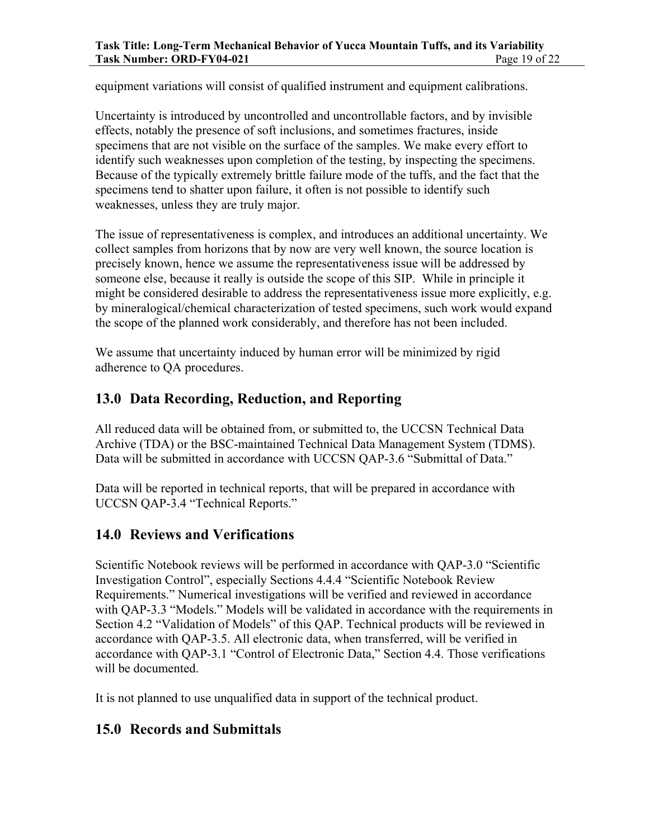equipment variations will consist of qualified instrument and equipment calibrations.

Uncertainty is introduced by uncontrolled and uncontrollable factors, and by invisible effects, notably the presence of soft inclusions, and sometimes fractures, inside specimens that are not visible on the surface of the samples. We make every effort to identify such weaknesses upon completion of the testing, by inspecting the specimens. Because of the typically extremely brittle failure mode of the tuffs, and the fact that the specimens tend to shatter upon failure, it often is not possible to identify such weaknesses, unless they are truly major.

The issue of representativeness is complex, and introduces an additional uncertainty. We collect samples from horizons that by now are very well known, the source location is precisely known, hence we assume the representativeness issue will be addressed by someone else, because it really is outside the scope of this SIP. While in principle it might be considered desirable to address the representativeness issue more explicitly, e.g. by mineralogical/chemical characterization of tested specimens, such work would expand the scope of the planned work considerably, and therefore has not been included.

We assume that uncertainty induced by human error will be minimized by rigid adherence to QA procedures.

### **13.0 Data Recording, Reduction, and Reporting**

All reduced data will be obtained from, or submitted to, the UCCSN Technical Data Archive (TDA) or the BSC-maintained Technical Data Management System (TDMS). Data will be submitted in accordance with UCCSN QAP-3.6 "Submittal of Data."

Data will be reported in technical reports, that will be prepared in accordance with UCCSN QAP-3.4 "Technical Reports."

### **14.0 Reviews and Verifications**

Scientific Notebook reviews will be performed in accordance with QAP-3.0 "Scientific Investigation Control", especially Sections 4.4.4 "Scientific Notebook Review Requirements." Numerical investigations will be verified and reviewed in accordance with QAP-3.3 "Models." Models will be validated in accordance with the requirements in Section 4.2 "Validation of Models" of this QAP. Technical products will be reviewed in accordance with QAP-3.5. All electronic data, when transferred, will be verified in accordance with QAP-3.1 "Control of Electronic Data," Section 4.4. Those verifications will be documented.

It is not planned to use unqualified data in support of the technical product.

### **15.0 Records and Submittals**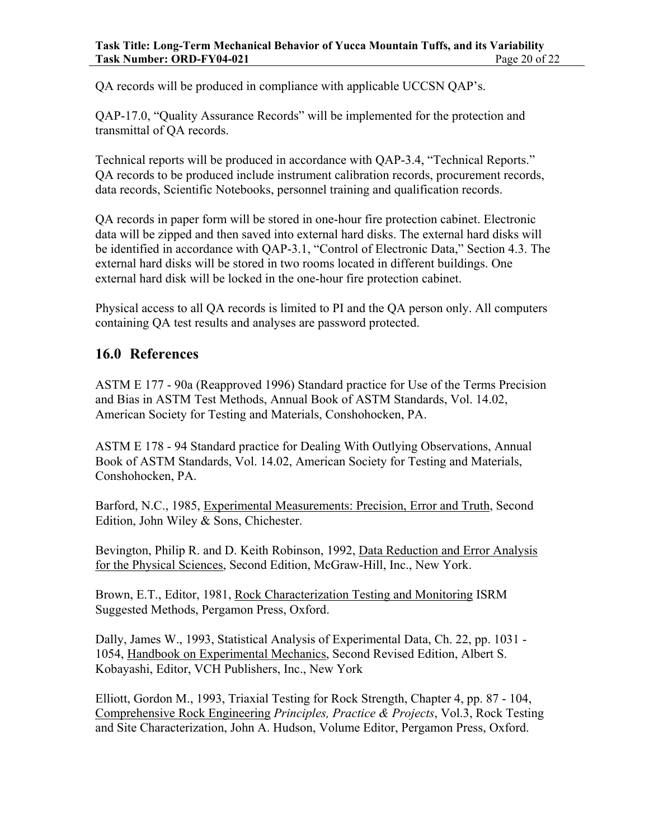QA records will be produced in compliance with applicable UCCSN QAP's.

QAP-17.0, "Quality Assurance Records" will be implemented for the protection and transmittal of QA records.

Technical reports will be produced in accordance with QAP-3.4, "Technical Reports." QA records to be produced include instrument calibration records, procurement records, data records, Scientific Notebooks, personnel training and qualification records.

QA records in paper form will be stored in one-hour fire protection cabinet. Electronic data will be zipped and then saved into external hard disks. The external hard disks will be identified in accordance with QAP-3.1, "Control of Electronic Data," Section 4.3. The external hard disks will be stored in two rooms located in different buildings. One external hard disk will be locked in the one-hour fire protection cabinet.

Physical access to all QA records is limited to PI and the QA person only. All computers containing QA test results and analyses are password protected.

### **16.0 References**

ASTM E 177 - 90a (Reapproved 1996) Standard practice for Use of the Terms Precision and Bias in ASTM Test Methods, Annual Book of ASTM Standards, Vol. 14.02, American Society for Testing and Materials, Conshohocken, PA.

ASTM E 178 - 94 Standard practice for Dealing With Outlying Observations, Annual Book of ASTM Standards, Vol. 14.02, American Society for Testing and Materials, Conshohocken, PA.

Barford, N.C., 1985, Experimental Measurements: Precision, Error and Truth, Second Edition, John Wiley & Sons, Chichester.

Bevington, Philip R. and D. Keith Robinson, 1992, Data Reduction and Error Analysis for the Physical Sciences, Second Edition, McGraw-Hill, Inc., New York.

Brown, E.T., Editor, 1981, Rock Characterization Testing and Monitoring ISRM Suggested Methods, Pergamon Press, Oxford.

Dally, James W., 1993, Statistical Analysis of Experimental Data, Ch. 22, pp. 1031 - 1054, Handbook on Experimental Mechanics, Second Revised Edition, Albert S. Kobayashi, Editor, VCH Publishers, Inc., New York

Elliott, Gordon M., 1993, Triaxial Testing for Rock Strength, Chapter 4, pp. 87 - 104, Comprehensive Rock Engineering *Principles, Practice & Projects*, Vol.3, Rock Testing and Site Characterization, John A. Hudson, Volume Editor, Pergamon Press, Oxford.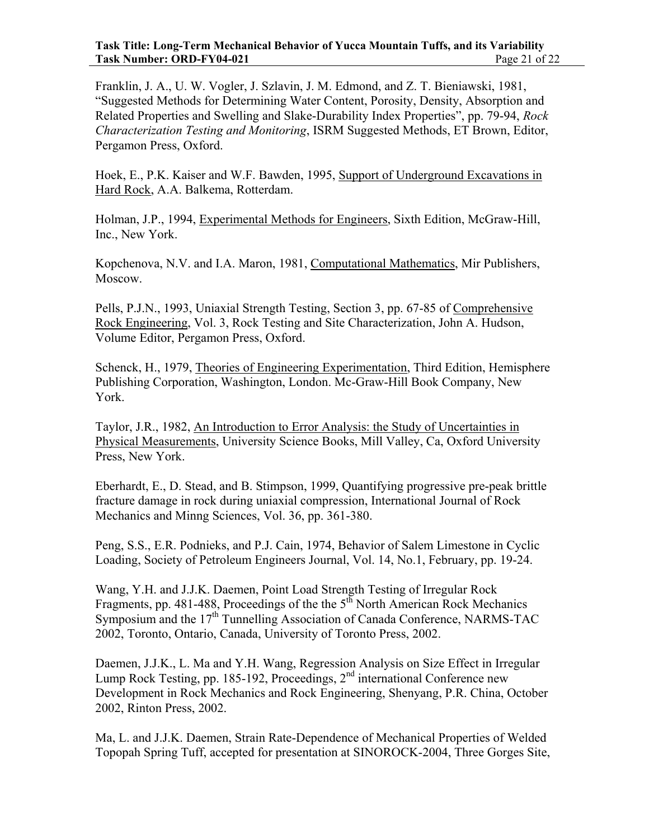Franklin, J. A., U. W. Vogler, J. Szlavin, J. M. Edmond, and Z. T. Bieniawski, 1981, "Suggested Methods for Determining Water Content, Porosity, Density, Absorption and Related Properties and Swelling and Slake-Durability Index Properties", pp. 79-94, *Rock Characterization Testing and Monitoring*, ISRM Suggested Methods, ET Brown, Editor, Pergamon Press, Oxford.

Hoek, E., P.K. Kaiser and W.F. Bawden, 1995, Support of Underground Excavations in Hard Rock, A.A. Balkema, Rotterdam.

Holman, J.P., 1994, Experimental Methods for Engineers, Sixth Edition, McGraw-Hill, Inc., New York.

Kopchenova, N.V. and I.A. Maron, 1981, Computational Mathematics, Mir Publishers, Moscow.

Pells, P.J.N., 1993, Uniaxial Strength Testing, Section 3, pp. 67-85 of Comprehensive Rock Engineering, Vol. 3, Rock Testing and Site Characterization, John A. Hudson, Volume Editor, Pergamon Press, Oxford.

Schenck, H., 1979, Theories of Engineering Experimentation, Third Edition, Hemisphere Publishing Corporation, Washington, London. Mc-Graw-Hill Book Company, New York.

Taylor, J.R., 1982, An Introduction to Error Analysis: the Study of Uncertainties in Physical Measurements, University Science Books, Mill Valley, Ca, Oxford University Press, New York.

Eberhardt, E., D. Stead, and B. Stimpson, 1999, Quantifying progressive pre-peak brittle fracture damage in rock during uniaxial compression, International Journal of Rock Mechanics and Minng Sciences, Vol. 36, pp. 361-380.

Peng, S.S., E.R. Podnieks, and P.J. Cain, 1974, Behavior of Salem Limestone in Cyclic Loading, Society of Petroleum Engineers Journal, Vol. 14, No.1, February, pp. 19-24.

Wang, Y.H. and J.J.K. Daemen, Point Load Strength Testing of Irregular Rock Fragments, pp. 481-488, Proceedings of the the  $5<sup>th</sup>$  North American Rock Mechanics Symposium and the  $17<sup>th</sup>$  Tunnelling Association of Canada Conference, NARMS-TAC 2002, Toronto, Ontario, Canada, University of Toronto Press, 2002.

Daemen, J.J.K., L. Ma and Y.H. Wang, Regression Analysis on Size Effect in Irregular Lump Rock Testing, pp. 185-192, Proceedings, 2<sup>nd</sup> international Conference new Development in Rock Mechanics and Rock Engineering, Shenyang, P.R. China, October 2002, Rinton Press, 2002.

Ma, L. and J.J.K. Daemen, Strain Rate-Dependence of Mechanical Properties of Welded Topopah Spring Tuff, accepted for presentation at SINOROCK-2004, Three Gorges Site,